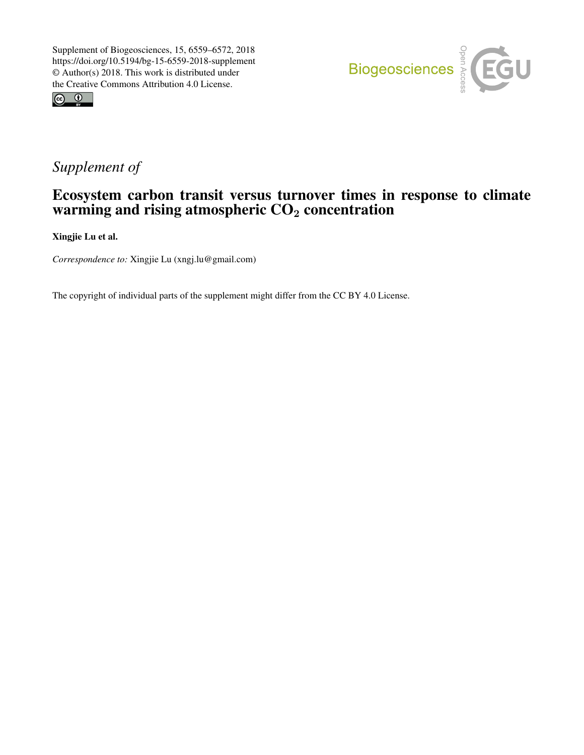



# *Supplement of*

## Ecosystem carbon transit versus turnover times in response to climate warming and rising atmospheric  $CO<sub>2</sub>$  concentration

Xingjie Lu et al.

*Correspondence to:* Xingjie Lu (xngj.lu@gmail.com)

The copyright of individual parts of the supplement might differ from the CC BY 4.0 License.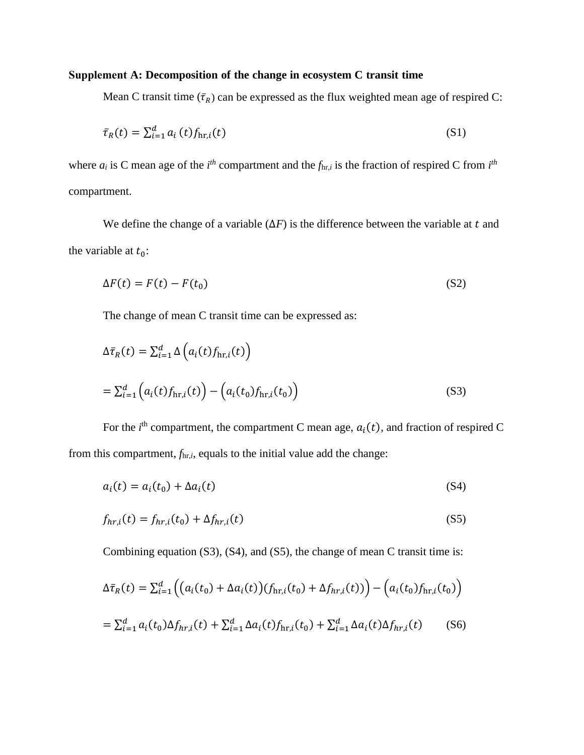### **Supplement A: Decomposition of the change in ecosystem C transit time**

Mean C transit time  $(\bar{\tau}_R)$  can be expressed as the flux weighted mean age of respired C:

$$
\bar{\tau}_R(t) = \sum_{i=1}^d a_i(t) f_{\text{hr},i}(t) \tag{S1}
$$

where  $a_i$  is C mean age of the  $i^{th}$  compartment and the  $f_{\text{hr},i}$  is the fraction of respired C from  $i^{th}$ compartment.

We define the change of a variable  $(\Delta F)$  is the difference between the variable at t and the variable at  $t_0$ :

$$
\Delta F(t) = F(t) - F(t_0) \tag{S2}
$$

The change of mean C transit time can be expressed as:

$$
\Delta \bar{\tau}_R(t) = \sum_{i=1}^d \Delta \Big( a_i(t) f_{\text{hr},i}(t) \Big)
$$
  
= 
$$
\sum_{i=1}^d \Big( a_i(t) f_{\text{hr},i}(t) \Big) - \Big( a_i(t_0) f_{\text{hr},i}(t_0) \Big)
$$
 (S3)

For the  $i^{\text{th}}$  compartment, the compartment C mean age,  $a_i(t)$ , and fraction of respired C from this compartment, *f*hr,*i*, equals to the initial value add the change:

$$
a_i(t) = a_i(t_0) + \Delta a_i(t) \tag{S4}
$$

$$
f_{hr,i}(t) = f_{hr,i}(t_0) + \Delta f_{hr,i}(t)
$$
\n(S5)

Combining equation (S3), (S4), and (S5), the change of mean C transit time is:

$$
\Delta \bar{\tau}_R(t) = \sum_{i=1}^d \left( \left( a_i(t_0) + \Delta a_i(t) \right) (f_{\text{hr},i}(t_0) + \Delta f_{\text{hr},i}(t)) \right) - \left( a_i(t_0) f_{\text{hr},i}(t_0) \right)
$$
  
=  $\sum_{i=1}^d a_i(t_0) \Delta f_{\text{hr},i}(t) + \sum_{i=1}^d \Delta a_i(t) f_{\text{hr},i}(t_0) + \sum_{i=1}^d \Delta a_i(t) \Delta f_{\text{hr},i}(t) \qquad (S6)$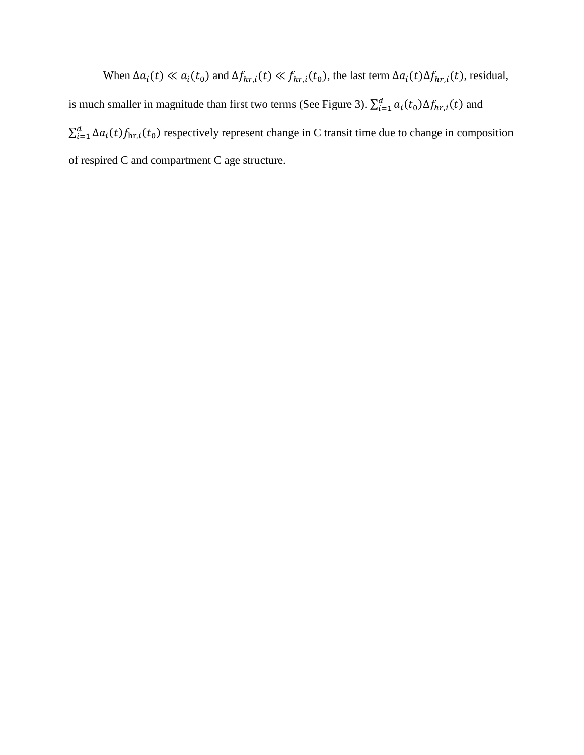When  $\Delta a_i(t) \ll a_i(t_0)$  and  $\Delta f_{hr,i}(t) \ll f_{hr,i}(t_0)$ , the last term  $\Delta a_i(t) \Delta f_{hr,i}(t)$ , residual, is much smaller in magnitude than first two terms (See Figure 3).  $\sum_{i=1}^{d} a_i(t_0) \Delta f_{hr,i}(t)$  and  $\sum_{i=1}^{d} \Delta a_i(t) f_{\text{hr},i}(t_0)$  respectively represent change in C transit time due to change in composition of respired C and compartment C age structure.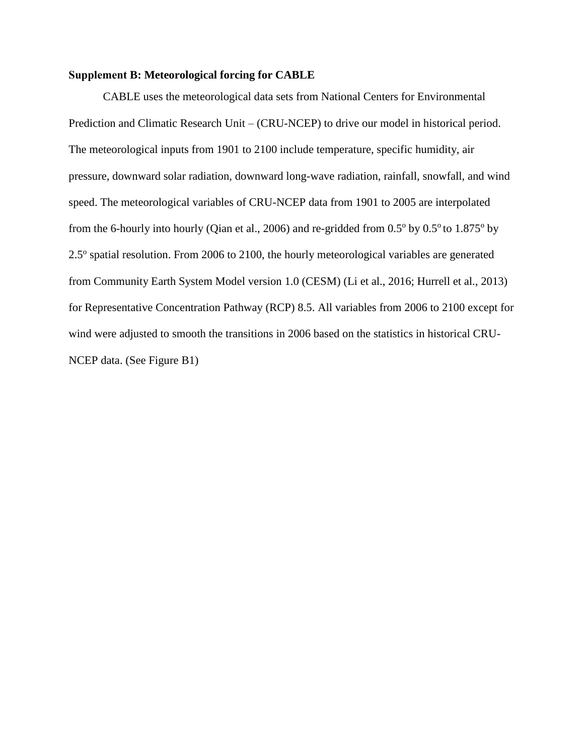#### **Supplement B: Meteorological forcing for CABLE**

Prediction and Climatic Research Unit – (CRU-NCEP) to drive our model in historical period. The meteorological inputs from 1901 to 2100 include temperature, specific humidity, air pressure, downward solar radiation, downward long-wave radiation, rainfall, snowfall, and wind speed. The meteorological variables of CRU-NCEP data from 1901 to 2005 are interpolated from the 6-hourly into hourly (Qian et al., 2006) and re-gridded from  $0.5^{\circ}$  by  $0.5^{\circ}$  to  $1.875^{\circ}$  by 2.5° spatial resolution. From 2006 to 2100, the hourly meteorological variables are generated from Community Earth System Model version 1.0 (CESM) (Li et al., 2016; Hurrell et al., 2013) for Representative Concentration Pathway (RCP) 8.5. All variables from 2006 to 2100 except for wind were adjusted to smooth the transitions in 2006 based on the statistics in historical CRU-NCEP data. (See Figure B1) CABLE uses the meteorological data sets from National Centers for Environmental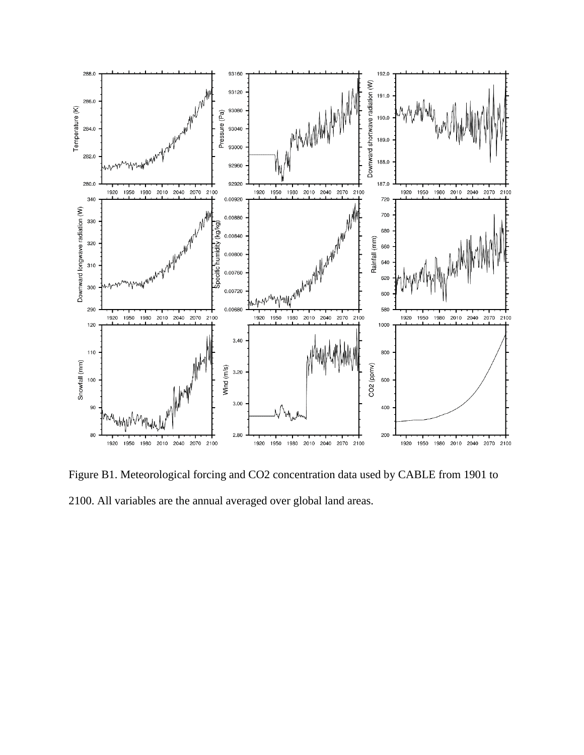

Figure B1. Meteorological forcing and CO2 concentration data used by CABLE from 1901 to 2100. All variables are the annual averaged over global land areas.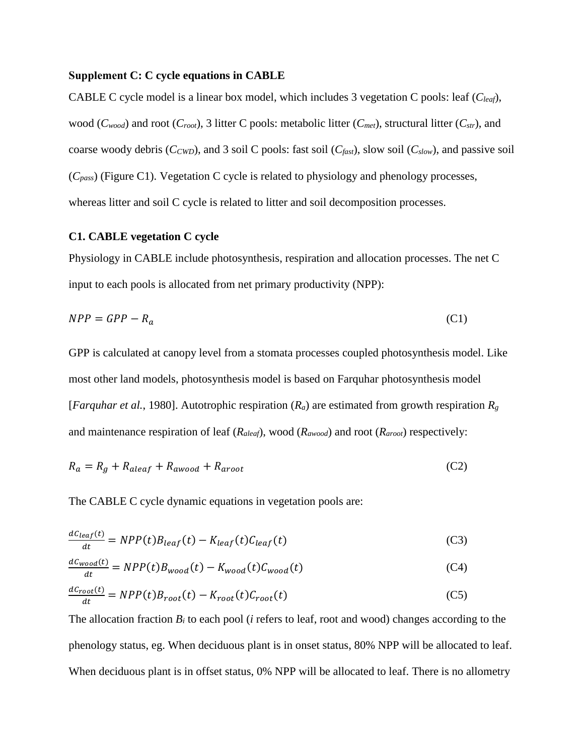#### **Supplement C: C cycle equations in CABLE**

wood (*Cwood*) and root (*Croot*), 3 litter C pools: metabolic litter (*Cmet*), structural litter (*Cstr*), and coarse woody debris (*CCWD*), and 3 soil C pools: fast soil (*Cfast*), slow soil (*Cslow*), and passive soil (*Cpass*) (Figure C1). Vegetation C cycle is related to physiology and phenology processes, whereas litter and soil C cycle is related to litter and soil decomposition processes. CABLE C cycle model is a linear box model, which includes 3 vegetation C pools: leaf (*Cleaf*),

#### **C1. CABLE vegetation C cycle**

Physiology in CABLE include photosynthesis, respiration and allocation processes. The net C input to each pools is allocated from net primary productivity (NPP):

$$
NPP = GPP - R_a \tag{C1}
$$

GPP is calculated at canopy level from a stomata processes coupled photosynthesis model. Like most other land models, photosynthesis model is based on Farquhar photosynthesis model [*Farquhar et al.,* 1980]. Autotrophic respiration  $(R_a)$  are estimated from growth respiration  $R_g$ and maintenance respiration of leaf (*Raleaf*), wood (*Rawood*) and root (*Raroot*) respectively:

$$
R_a = R_g + R_{aleaf} + R_{awood} + R_{aroot}
$$
 (C2)

The CABLE C cycle dynamic equations in vegetation pools are:

$$
\frac{dC_{leaf}(t)}{dt} = NPP(t)B_{leaf}(t) - K_{leaf}(t)C_{leaf}(t)
$$
\n(C3)

$$
\frac{dC_{wood}(t)}{dt} = NPP(t)B_{wood}(t) - K_{wood}(t)C_{wood}(t)
$$
\n(C4)

$$
\frac{dC_{root}(t)}{dt} = NPP(t)B_{root}(t) - K_{root}(t)C_{root}(t)
$$
\n(C5)

The allocation fraction  $B_i$  to each pool ( $i$  refers to leaf, root and wood) changes according to the phenology status, eg. When deciduous plant is in onset status, 80% NPP will be allocated to leaf. When deciduous plant is in offset status, 0% NPP will be allocated to leaf. There is no allometry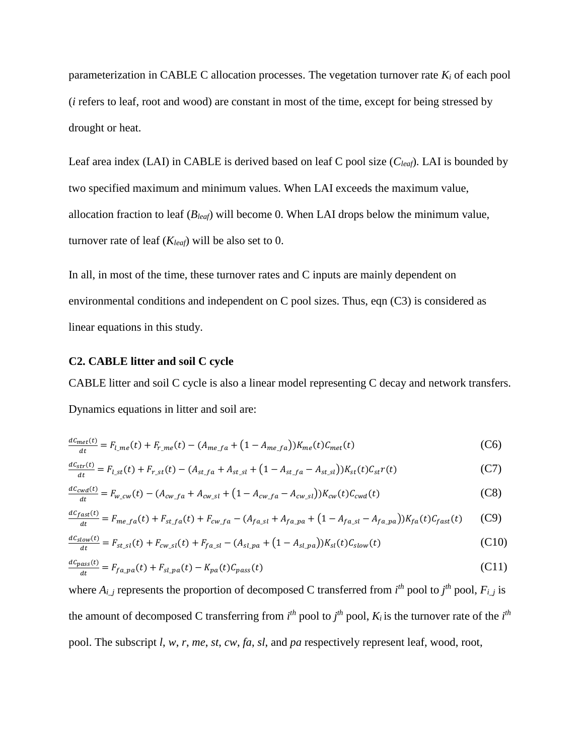parameterization in CABLE C allocation processes. The vegetation turnover rate *K<sup>i</sup>* of each pool (*i* refers to leaf, root and wood) are constant in most of the time, except for being stressed by drought or heat.

Leaf area index (LAI) in CABLE is derived based on leaf C pool size (*Cleaf*). LAI is bounded by two specified maximum and minimum values. When LAI exceeds the maximum value, allocation fraction to leaf (*Bleaf*) will become 0. When LAI drops below the minimum value, turnover rate of leaf (*Kleaf*) will be also set to 0.

In all, in most of the time, these turnover rates and C inputs are mainly dependent on environmental conditions and independent on C pool sizes. Thus, eqn (C3) is considered as linear equations in this study.

#### **C2. CABLE litter and soil C cycle**

CABLE litter and soil C cycle is also a linear model representing C decay and network transfers. Dynamics equations in litter and soil are:

$$
\frac{dC_{met}(t)}{dt} = F_{l\_me}(t) + F_{r\_me}(t) - (A_{me\_fa} + (1 - A_{me\_fa}))K_{me}(t)C_{met}(t)
$$
(C6)

$$
\frac{dC_{str}(t)}{dt} = F_{l,st}(t) + F_{r,st}(t) - (A_{st-fa} + A_{st_s} + (1 - A_{st-fa} - A_{st_s}))/K_{st}(t)C_{st}r(t)
$$
(C7)

$$
\frac{dC_{cwd}(t)}{dt} = F_{w\_cw}(t) - (A_{cw\_fa} + A_{cw\_sl} + (1 - A_{cw\_fa} - A_{cw\_sl}))K_{cw}(t)C_{cwd}(t)
$$
(C8)

$$
\frac{dC_{fast}(t)}{dt} = F_{me,fa}(t) + F_{st,fa}(t) + F_{cw,fa} - (A_{fa,sl} + A_{fa,pa} + (1 - A_{fa,sl} - A_{fa,pa}))K_{fa}(t)C_{fast}(t)
$$
 (C9)

$$
\frac{dC_{slow}(t)}{dt} = F_{st\_sl}(t) + F_{cw\_sl}(t) + F_{fa\_sl} - (A_{sl\_pa} + (1 - A_{sl\_pa}))K_{sl}(t)C_{slow}(t)
$$
(C10)

$$
\frac{dC_{pass}(t)}{dt} = F_{fa\_pa}(t) + F_{sl\_pa}(t) - K_{pa}(t)C_{pass}(t)
$$
\n(C11)

where  $A_{i,j}$  represents the proportion of decomposed C transferred from  $i^{th}$  pool to  $j^{th}$  pool,  $F_{i,j}$  is the amount of decomposed C transferring from  $i^{th}$  pool to  $j^{th}$  pool,  $K_i$  is the turnover rate of the  $i^{th}$ pool. The subscript *l*, *w*, *r*, *me*, *st*, *cw*, *fa*, *sl*, and *pa* respectively represent leaf, wood, root,